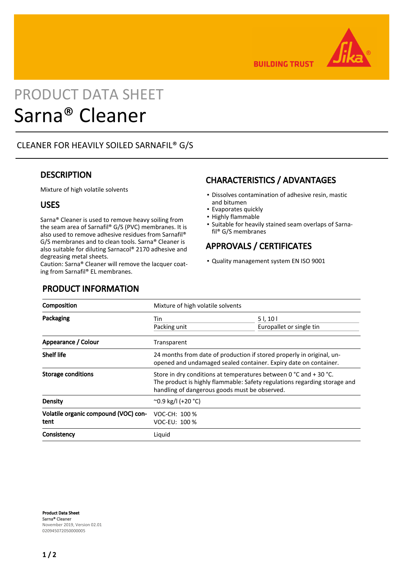

**BUILDING TRUST** 

# PRODUCT DATA SHEET Sarna® Cleaner

# CLEANER FOR HEAVILY SOILED SARNAFIL® G/S

# **DESCRIPTION**

Mixture of high volatile solvents

# USES

Sarna® Cleaner is used to remove heavy soiling from the seam area of Sarnafil® G/S (PVC) membranes. It is also used to remove adhesive residues from Sarnafil® G/S membranes and to clean tools. Sarna® Cleaner is also suitable for diluting Sarnacol® 2170 adhesive and degreasing metal sheets.

Caution: Sarna® Cleaner will remove the lacquer coating from Sarnafil® EL membranes.

# CHARACTERISTICS / ADVANTAGES

- **Dissolves contamination of adhesive resin, mastic** and bitumen
- Evaporates quickly
- Highly flammable
- **•** Suitable for heavily stained seam overlaps of Sarnafil® G/S membranes

# APPROVALS / CERTIFICATES

▪ Quality management system EN ISO 9001

| Composition                                  | Mixture of high volatile solvents                                                                                                                                                               |                                     |
|----------------------------------------------|-------------------------------------------------------------------------------------------------------------------------------------------------------------------------------------------------|-------------------------------------|
| Packaging                                    | Tin<br>Packing unit                                                                                                                                                                             | 51, 101<br>Europallet or single tin |
| Appearance / Colour                          | Transparent                                                                                                                                                                                     |                                     |
| <b>Shelf life</b>                            | 24 months from date of production if stored properly in original, un-<br>opened and undamaged sealed container. Expiry date on container.                                                       |                                     |
| <b>Storage conditions</b>                    | Store in dry conditions at temperatures between 0 °C and + 30 °C.<br>The product is highly flammable: Safety regulations regarding storage and<br>handling of dangerous goods must be observed. |                                     |
| Density                                      | $^{\circ}$ 0.9 kg/l (+20 $^{\circ}$ C)                                                                                                                                                          |                                     |
| Volatile organic compound (VOC) con-<br>tent | VOC-CH: 100 %<br>VOC-EU: 100 %                                                                                                                                                                  |                                     |
| Consistency                                  | Liquid                                                                                                                                                                                          |                                     |

Product Data Sheet Sarna® Cleaner November 2019, Version 02.01 020945072050000005

# PRODUCT INFORMATION